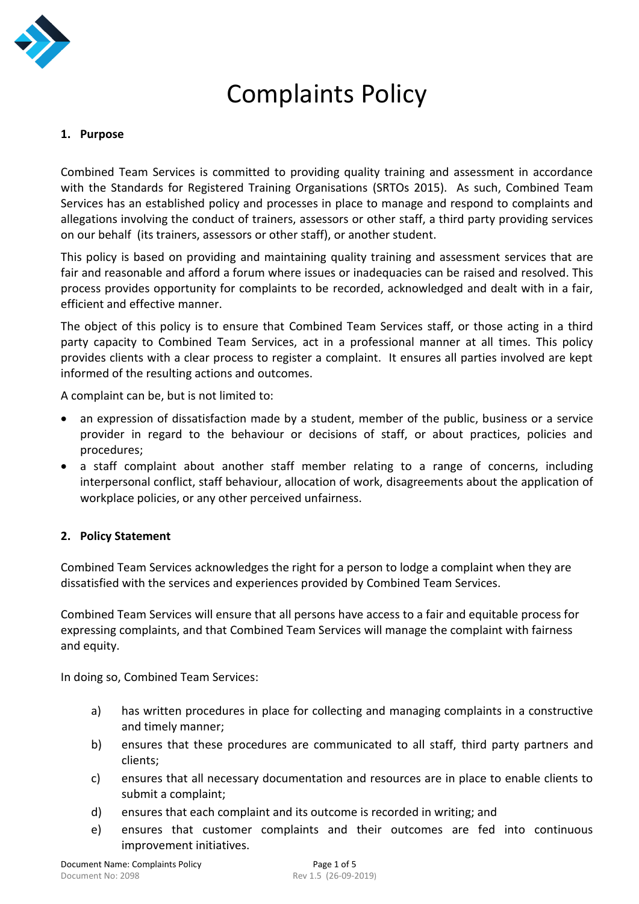

# Complaints Policy

# **1. Purpose**

Combined Team Services is committed to providing quality training and assessment in accordance with the Standards for Registered Training Organisations (SRTOs 2015). As such, Combined Team Services has an established policy and processes in place to manage and respond to complaints and allegations involving the conduct of trainers, assessors or other staff, a third party providing services on our behalf (its trainers, assessors or other staff), or another student.

This policy is based on providing and maintaining quality training and assessment services that are fair and reasonable and afford a forum where issues or inadequacies can be raised and resolved. This process provides opportunity for complaints to be recorded, acknowledged and dealt with in a fair, efficient and effective manner.

The object of this policy is to ensure that Combined Team Services staff, or those acting in a third party capacity to Combined Team Services, act in a professional manner at all times. This policy provides clients with a clear process to register a complaint. It ensures all parties involved are kept informed of the resulting actions and outcomes.

A complaint can be, but is not limited to:

- an expression of dissatisfaction made by a student, member of the public, business or a service provider in regard to the behaviour or decisions of staff, or about practices, policies and procedures;
- a staff complaint about another staff member relating to a range of concerns, including interpersonal conflict, staff behaviour, allocation of work, disagreements about the application of workplace policies, or any other perceived unfairness.

# **2. Policy Statement**

Combined Team Services acknowledges the right for a person to lodge a complaint when they are dissatisfied with the services and experiences provided by Combined Team Services.

Combined Team Services will ensure that all persons have access to a fair and equitable process for expressing complaints, and that Combined Team Services will manage the complaint with fairness and equity.

In doing so, Combined Team Services:

- a) has written procedures in place for collecting and managing complaints in a constructive and timely manner;
- b) ensures that these procedures are communicated to all staff, third party partners and clients;
- c) ensures that all necessary documentation and resources are in place to enable clients to submit a complaint;
- d) ensures that each complaint and its outcome is recorded in writing; and
- e) ensures that customer complaints and their outcomes are fed into continuous improvement initiatives.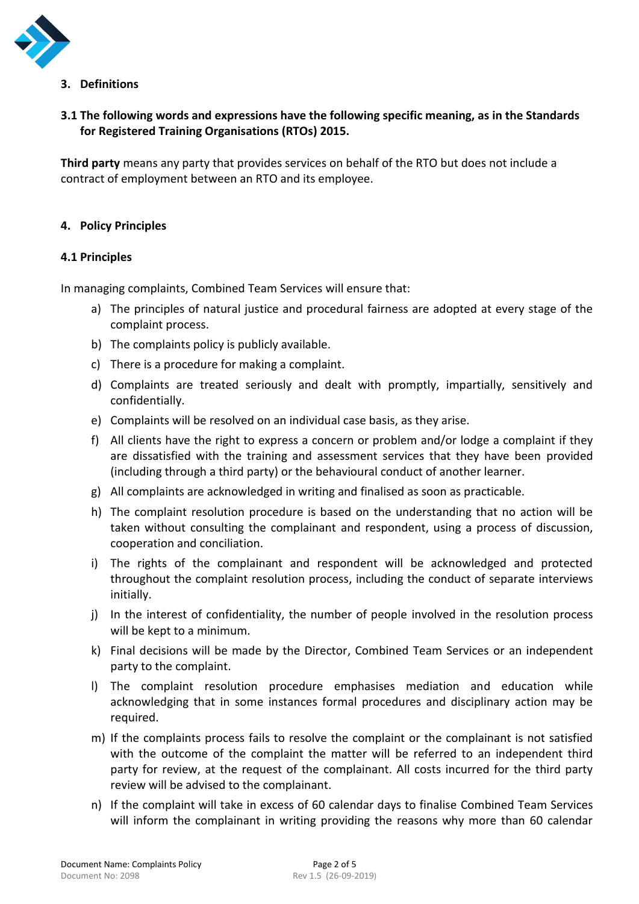

**3. Definitions** 

# **3.1 The following words and expressions have the following specific meaning, as in the Standards for Registered Training Organisations (RTOs) 2015.**

**Third party** means any party that provides services on behalf of the RTO but does not include a contract of employment between an RTO and its employee.

# **4. Policy Principles**

#### **4.1 Principles**

In managing complaints, Combined Team Services will ensure that:

- a) The principles of natural justice and procedural fairness are adopted at every stage of the complaint process.
- b) The complaints policy is publicly available.
- c) There is a procedure for making a complaint.
- d) Complaints are treated seriously and dealt with promptly, impartially, sensitively and confidentially.
- e) Complaints will be resolved on an individual case basis, as they arise.
- f) All clients have the right to express a concern or problem and/or lodge a complaint if they are dissatisfied with the training and assessment services that they have been provided (including through a third party) or the behavioural conduct of another learner.
- g) All complaints are acknowledged in writing and finalised as soon as practicable.
- h) The complaint resolution procedure is based on the understanding that no action will be taken without consulting the complainant and respondent, using a process of discussion, cooperation and conciliation.
- i) The rights of the complainant and respondent will be acknowledged and protected throughout the complaint resolution process, including the conduct of separate interviews initially.
- j) In the interest of confidentiality, the number of people involved in the resolution process will be kept to a minimum.
- k) Final decisions will be made by the Director, Combined Team Services or an independent party to the complaint.
- l) The complaint resolution procedure emphasises mediation and education while acknowledging that in some instances formal procedures and disciplinary action may be required.
- m) If the complaints process fails to resolve the complaint or the complainant is not satisfied with the outcome of the complaint the matter will be referred to an independent third party for review, at the request of the complainant. All costs incurred for the third party review will be advised to the complainant.
- n) If the complaint will take in excess of 60 calendar days to finalise Combined Team Services will inform the complainant in writing providing the reasons why more than 60 calendar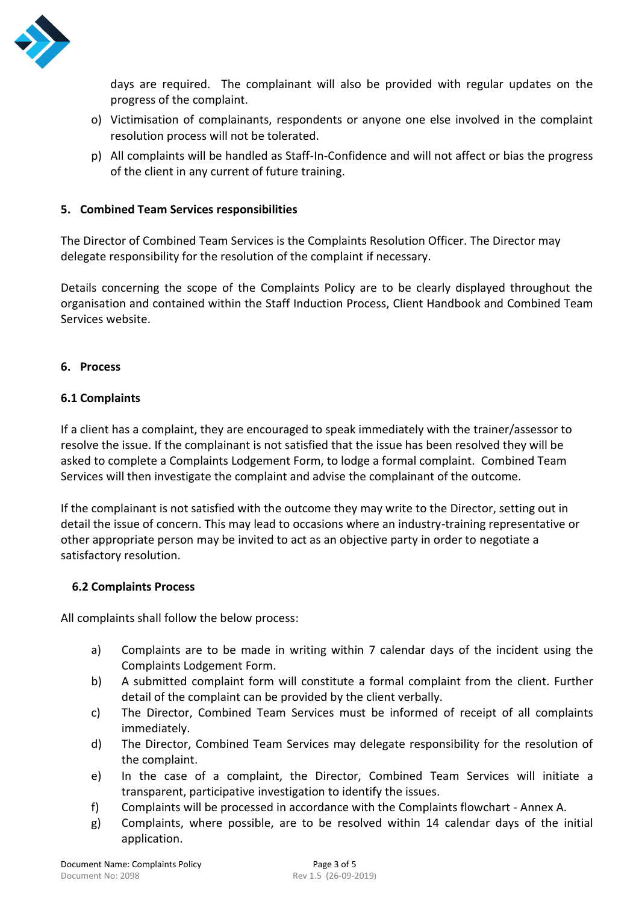

days are required. The complainant will also be provided with regular updates on the progress of the complaint.

- o) Victimisation of complainants, respondents or anyone one else involved in the complaint resolution process will not be tolerated.
- p) All complaints will be handled as Staff-In-Confidence and will not affect or bias the progress of the client in any current of future training.

#### **5. Combined Team Services responsibilities**

The Director of Combined Team Services is the Complaints Resolution Officer. The Director may delegate responsibility for the resolution of the complaint if necessary.

Details concerning the scope of the Complaints Policy are to be clearly displayed throughout the organisation and contained within the Staff Induction Process, Client Handbook and Combined Team Services website.

#### **6. Process**

#### **6.1 Complaints**

If a client has a complaint, they are encouraged to speak immediately with the trainer/assessor to resolve the issue. If the complainant is not satisfied that the issue has been resolved they will be asked to complete a Complaints Lodgement Form, to lodge a formal complaint. Combined Team Services will then investigate the complaint and advise the complainant of the outcome.

If the complainant is not satisfied with the outcome they may write to the Director, setting out in detail the issue of concern. This may lead to occasions where an industry-training representative or other appropriate person may be invited to act as an objective party in order to negotiate a satisfactory resolution.

#### **6.2 Complaints Process**

All complaints shall follow the below process:

- a) Complaints are to be made in writing within 7 calendar days of the incident using the Complaints Lodgement Form.
- b) A submitted complaint form will constitute a formal complaint from the client. Further detail of the complaint can be provided by the client verbally.
- c) The Director, Combined Team Services must be informed of receipt of all complaints immediately.
- d) The Director, Combined Team Services may delegate responsibility for the resolution of the complaint.
- e) In the case of a complaint, the Director, Combined Team Services will initiate a transparent, participative investigation to identify the issues.
- f) Complaints will be processed in accordance with the Complaints flowchart Annex A.
- g) Complaints, where possible, are to be resolved within 14 calendar days of the initial application.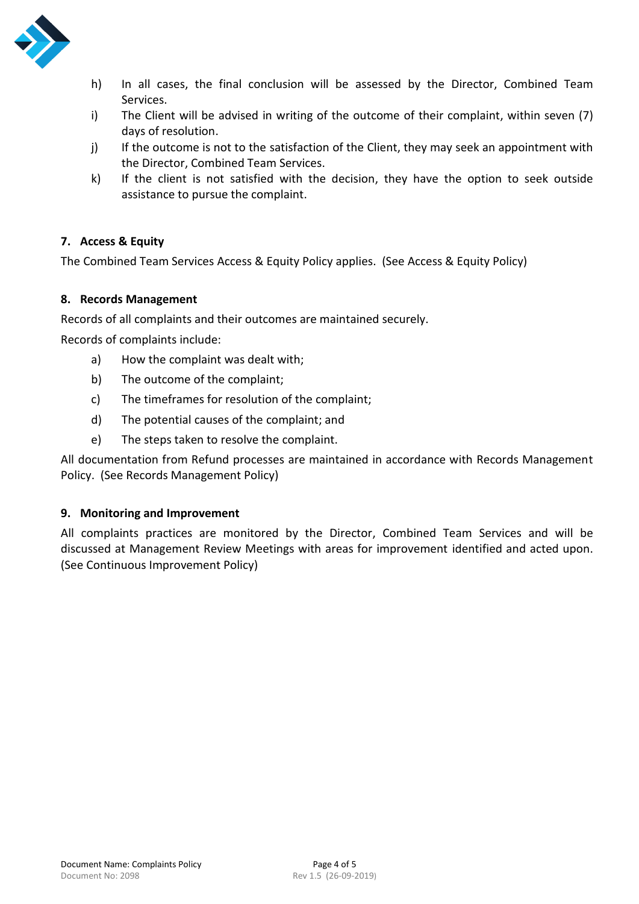

- h) In all cases, the final conclusion will be assessed by the Director, Combined Team Services.
- i) The Client will be advised in writing of the outcome of their complaint, within seven (7) days of resolution.
- j) If the outcome is not to the satisfaction of the Client, they may seek an appointment with the Director, Combined Team Services.
- k) If the client is not satisfied with the decision, they have the option to seek outside assistance to pursue the complaint.

# **7. Access & Equity**

The Combined Team Services Access & Equity Policy applies. (See Access & Equity Policy)

# **8. Records Management**

Records of all complaints and their outcomes are maintained securely.

Records of complaints include:

- a) How the complaint was dealt with;
- b) The outcome of the complaint;
- c) The timeframes for resolution of the complaint;
- d) The potential causes of the complaint; and
- e) The steps taken to resolve the complaint.

All documentation from Refund processes are maintained in accordance with Records Management Policy. (See Records Management Policy)

#### **9. Monitoring and Improvement**

All complaints practices are monitored by the Director, Combined Team Services and will be discussed at Management Review Meetings with areas for improvement identified and acted upon. (See Continuous Improvement Policy)